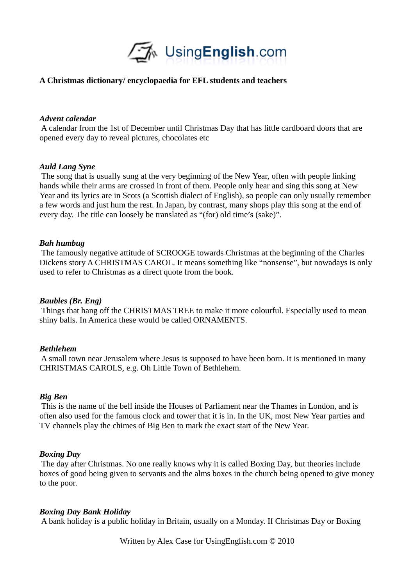

# **A Christmas dictionary/ encyclopaedia for EFL students and teachers**

### *Advent calendar*

 A calendar from the 1st of December until Christmas Day that has little cardboard doors that are opened every day to reveal pictures, chocolates etc

### *Auld Lang Syne*

 The song that is usually sung at the very beginning of the New Year, often with people linking hands while their arms are crossed in front of them. People only hear and sing this song at New Year and its lyrics are in Scots (a Scottish dialect of English), so people can only usually remember a few words and just hum the rest. In Japan, by contrast, many shops play this song at the end of every day. The title can loosely be translated as "(for) old time's (sake)".

### *Bah humbug*

 The famously negative attitude of SCROOGE towards Christmas at the beginning of the Charles Dickens story A CHRISTMAS CAROL. It means something like "nonsense", but nowadays is only used to refer to Christmas as a direct quote from the book.

#### *Baubles (Br. Eng)*

 Things that hang off the CHRISTMAS TREE to make it more colourful. Especially used to mean shiny balls. In America these would be called ORNAMENTS.

#### *Bethlehem*

 A small town near Jerusalem where Jesus is supposed to have been born. It is mentioned in many CHRISTMAS CAROLS, e.g. Oh Little Town of Bethlehem.

#### *Big Ben*

 This is the name of the bell inside the Houses of Parliament near the Thames in London, and is often also used for the famous clock and tower that it is in. In the UK, most New Year parties and TV channels play the chimes of Big Ben to mark the exact start of the New Year.

#### *Boxing Day*

 The day after Christmas. No one really knows why it is called Boxing Day, but theories include boxes of good being given to servants and the alms boxes in the church being opened to give money to the poor.

#### *Boxing Day Bank Holiday*

A bank holiday is a public holiday in Britain, usually on a Monday. If Christmas Day or Boxing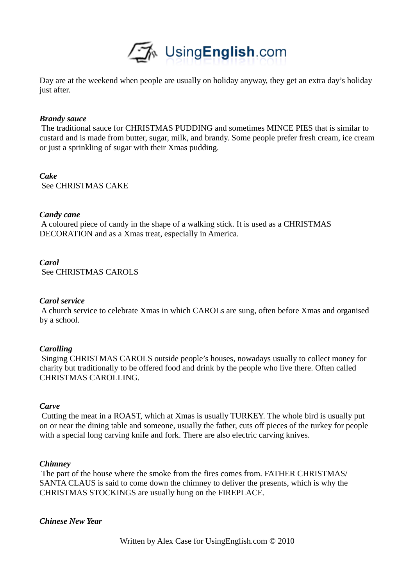

Day are at the weekend when people are usually on holiday anyway, they get an extra day's holiday just after.

### *Brandy sauce*

 The traditional sauce for CHRISTMAS PUDDING and sometimes MINCE PIES that is similar to custard and is made from butter, sugar, milk, and brandy. Some people prefer fresh cream, ice cream or just a sprinkling of sugar with their Xmas pudding.

*Cake*  See CHRISTMAS CAKE

### *Candy cane*

 A coloured piece of candy in the shape of a walking stick. It is used as a CHRISTMAS DECORATION and as a Xmas treat, especially in America.

### *Carol*

See CHRISTMAS CAROLS

## *Carol service*

 A church service to celebrate Xmas in which CAROLs are sung, often before Xmas and organised by a school.

#### *Carolling*

 Singing CHRISTMAS CAROLS outside people's houses, nowadays usually to collect money for charity but traditionally to be offered food and drink by the people who live there. Often called CHRISTMAS CAROLLING.

### *Carve*

 Cutting the meat in a ROAST, which at Xmas is usually TURKEY. The whole bird is usually put on or near the dining table and someone, usually the father, cuts off pieces of the turkey for people with a special long carving knife and fork. There are also electric carving knives.

#### *Chimney*

 The part of the house where the smoke from the fires comes from. FATHER CHRISTMAS/ SANTA CLAUS is said to come down the chimney to deliver the presents, which is why the CHRISTMAS STOCKINGS are usually hung on the FIREPLACE.

## *Chinese New Year*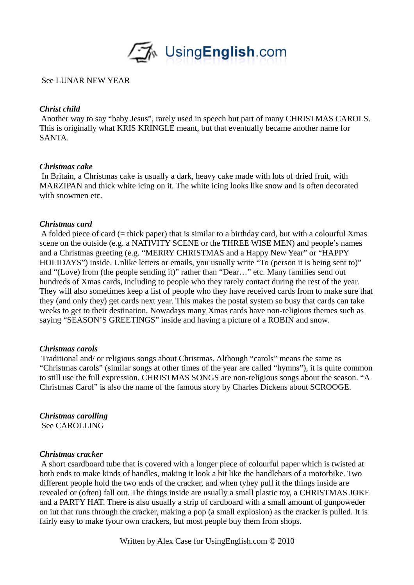

## See LUNAR NEW YEAR

## *Christ child*

 Another way to say "baby Jesus", rarely used in speech but part of many CHRISTMAS CAROLS. This is originally what KRIS KRINGLE meant, but that eventually became another name for SANTA.

## *Christmas cake*

 In Britain, a Christmas cake is usually a dark, heavy cake made with lots of dried fruit, with MARZIPAN and thick white icing on it. The white icing looks like snow and is often decorated with snowmen etc.

## *Christmas card*

 A folded piece of card (= thick paper) that is similar to a birthday card, but with a colourful Xmas scene on the outside (e.g. a NATIVITY SCENE or the THREE WISE MEN) and people's names and a Christmas greeting (e.g. "MERRY CHRISTMAS and a Happy New Year" or "HAPPY HOLIDAYS") inside. Unlike letters or emails, you usually write "To (person it is being sent to)" and "(Love) from (the people sending it)" rather than "Dear…" etc. Many families send out hundreds of Xmas cards, including to people who they rarely contact during the rest of the year. They will also sometimes keep a list of people who they have received cards from to make sure that they (and only they) get cards next year. This makes the postal system so busy that cards can take weeks to get to their destination. Nowadays many Xmas cards have non-religious themes such as saying "SEASON'S GREETINGS" inside and having a picture of a ROBIN and snow.

## *Christmas carols*

 Traditional and/ or religious songs about Christmas. Although "carols" means the same as "Christmas carols" (similar songs at other times of the year are called "hymns"), it is quite common to still use the full expression. CHRISTMAS SONGS are non-religious songs about the season. "A Christmas Carol" is also the name of the famous story by Charles Dickens about SCROOGE.

*Christmas carolling* 

See CAROLLING

## *Christmas cracker*

 A short csardboard tube that is covered with a longer piece of colourful paper which is twisted at both ends to make kinds of handles, making it look a bit like the handlebars of a motorbike. Two different people hold the two ends of the cracker, and when tyhey pull it the things inside are revealed or (often) fall out. The things inside are usually a small plastic toy, a CHRISTMAS JOKE and a PARTY HAT. There is also usually a strip of cardboard with a small amount of gunpoweder on iut that runs through the cracker, making a pop (a small explosion) as the cracker is pulled. It is fairly easy to make tyour own crackers, but most people buy them from shops.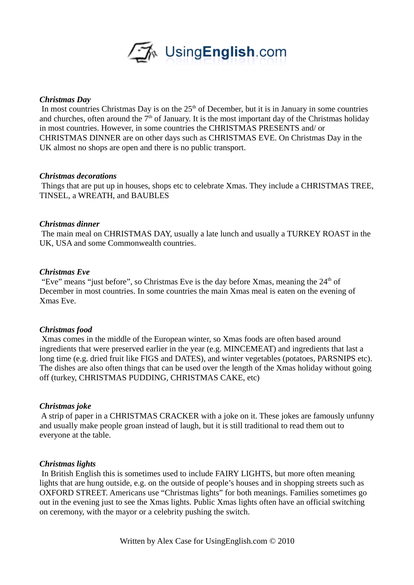

### *Christmas Day*

In most countries Christmas Day is on the 25<sup>th</sup> of December, but it is in January in some countries and churches, often around the  $7<sup>th</sup>$  of January. It is the most important day of the Christmas holiday in most countries. However, in some countries the CHRISTMAS PRESENTS and/ or CHRISTMAS DINNER are on other days such as CHRISTMAS EVE. On Christmas Day in the UK almost no shops are open and there is no public transport.

### *Christmas decorations*

 Things that are put up in houses, shops etc to celebrate Xmas. They include a CHRISTMAS TREE, TINSEL, a WREATH, and BAUBLES

### *Christmas dinner*

 The main meal on CHRISTMAS DAY, usually a late lunch and usually a TURKEY ROAST in the UK, USA and some Commonwealth countries.

# *Christmas Eve*

"Eve" means "just before", so Christmas Eve is the day before Xmas, meaning the  $24<sup>th</sup>$  of December in most countries. In some countries the main Xmas meal is eaten on the evening of Xmas Eve.

## *Christmas food*

 Xmas comes in the middle of the European winter, so Xmas foods are often based around ingredients that were preserved earlier in the year (e.g. MINCEMEAT) and ingredients that last a long time (e.g. dried fruit like FIGS and DATES), and winter vegetables (potatoes, PARSNIPS etc). The dishes are also often things that can be used over the length of the Xmas holiday without going off (turkey, CHRISTMAS PUDDING, CHRISTMAS CAKE, etc)

## *Christmas joke*

 A strip of paper in a CHRISTMAS CRACKER with a joke on it. These jokes are famously unfunny and usually make people groan instead of laugh, but it is still traditional to read them out to everyone at the table.

#### *Christmas lights*

 In British English this is sometimes used to include FAIRY LIGHTS, but more often meaning lights that are hung outside, e.g. on the outside of people's houses and in shopping streets such as OXFORD STREET. Americans use "Christmas lights" for both meanings. Families sometimes go out in the evening just to see the Xmas lights. Public Xmas lights often have an official switching on ceremony, with the mayor or a celebrity pushing the switch.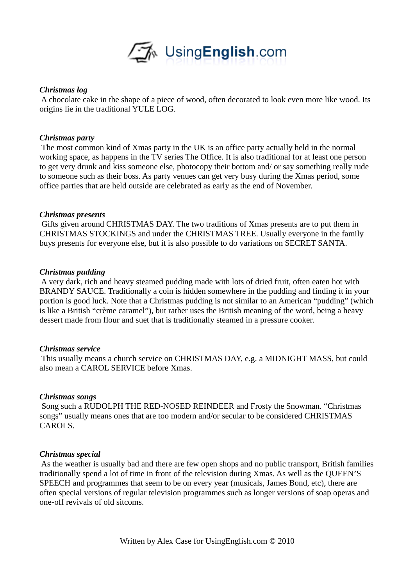

## *Christmas log*

 A chocolate cake in the shape of a piece of wood, often decorated to look even more like wood. Its origins lie in the traditional YULE LOG.

## *Christmas party*

 The most common kind of Xmas party in the UK is an office party actually held in the normal working space, as happens in the TV series The Office. It is also traditional for at least one person to get very drunk and kiss someone else, photocopy their bottom and/ or say something really rude to someone such as their boss. As party venues can get very busy during the Xmas period, some office parties that are held outside are celebrated as early as the end of November.

# *Christmas presents*

 Gifts given around CHRISTMAS DAY. The two traditions of Xmas presents are to put them in CHRISTMAS STOCKINGS and under the CHRISTMAS TREE. Usually everyone in the family buys presents for everyone else, but it is also possible to do variations on SECRET SANTA.

# *Christmas pudding*

 A very dark, rich and heavy steamed pudding made with lots of dried fruit, often eaten hot with BRANDY SAUCE. Traditionally a coin is hidden somewhere in the pudding and finding it in your portion is good luck. Note that a Christmas pudding is not similar to an American "pudding" (which is like a British "crème caramel"), but rather uses the British meaning of the word, being a heavy dessert made from flour and suet that is traditionally steamed in a pressure cooker.

## *Christmas service*

 This usually means a church service on CHRISTMAS DAY, e.g. a MIDNIGHT MASS, but could also mean a CAROL SERVICE before Xmas.

## *Christmas songs*

 Song such a RUDOLPH THE RED-NOSED REINDEER and Frosty the Snowman. "Christmas songs" usually means ones that are too modern and/or secular to be considered CHRISTMAS CAROLS.

# *Christmas special*

 As the weather is usually bad and there are few open shops and no public transport, British families traditionally spend a lot of time in front of the television during Xmas. As well as the QUEEN'S SPEECH and programmes that seem to be on every year (musicals, James Bond, etc), there are often special versions of regular television programmes such as longer versions of soap operas and one-off revivals of old sitcoms.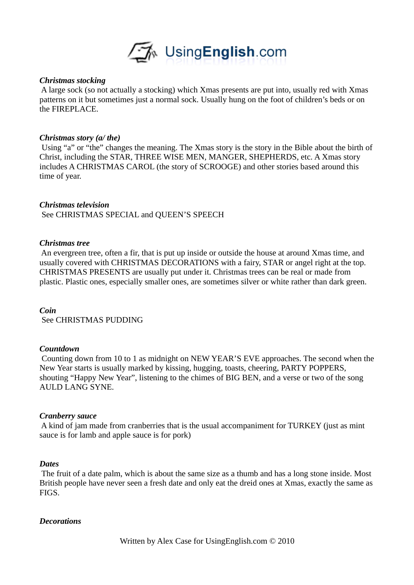

### *Christmas stocking*

 A large sock (so not actually a stocking) which Xmas presents are put into, usually red with Xmas patterns on it but sometimes just a normal sock. Usually hung on the foot of children's beds or on the FIREPLACE.

### *Christmas story (a/ the)*

 Using "a" or "the" changes the meaning. The Xmas story is the story in the Bible about the birth of Christ, including the STAR, THREE WISE MEN, MANGER, SHEPHERDS, etc. A Xmas story includes A CHRISTMAS CAROL (the story of SCROOGE) and other stories based around this time of year.

## *Christmas television*

See CHRISTMAS SPECIAL and QUEEN'S SPEECH

### *Christmas tree*

 An evergreen tree, often a fir, that is put up inside or outside the house at around Xmas time, and usually covered with CHRISTMAS DECORATIONS with a fairy, STAR or angel right at the top. CHRISTMAS PRESENTS are usually put under it. Christmas trees can be real or made from plastic. Plastic ones, especially smaller ones, are sometimes silver or white rather than dark green.

#### *Coin*

See CHRISTMAS PUDDING

#### *Countdown*

 Counting down from 10 to 1 as midnight on NEW YEAR'S EVE approaches. The second when the New Year starts is usually marked by kissing, hugging, toasts, cheering, PARTY POPPERS, shouting "Happy New Year", listening to the chimes of BIG BEN, and a verse or two of the song AULD LANG SYNE.

#### *Cranberry sauce*

 A kind of jam made from cranberries that is the usual accompaniment for TURKEY (just as mint sauce is for lamb and apple sauce is for pork)

#### *Dates*

 The fruit of a date palm, which is about the same size as a thumb and has a long stone inside. Most British people have never seen a fresh date and only eat the dreid ones at Xmas, exactly the same as FIGS.

#### *Decorations*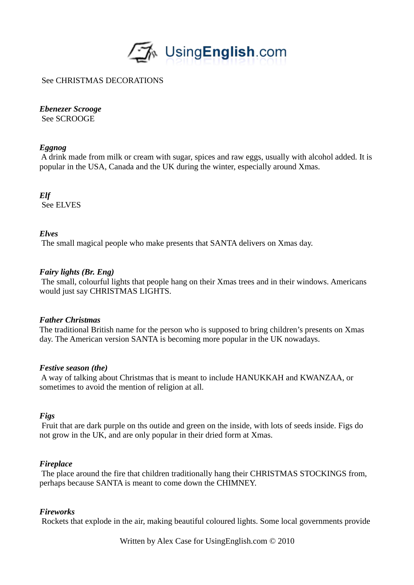

# See CHRISTMAS DECORATIONS

# *Ebenezer Scrooge*

See SCROOGE

# *Eggnog*

 A drink made from milk or cream with sugar, spices and raw eggs, usually with alcohol added. It is popular in the USA, Canada and the UK during the winter, especially around Xmas.

*Elf*  See ELVES

## *Elves*

The small magical people who make presents that SANTA delivers on Xmas day.

# *Fairy lights (Br. Eng)*

 The small, colourful lights that people hang on their Xmas trees and in their windows. Americans would just say CHRISTMAS LIGHTS.

## *Father Christmas*

The traditional British name for the person who is supposed to bring children's presents on Xmas day. The American version SANTA is becoming more popular in the UK nowadays.

## *Festive season (the)*

 A way of talking about Christmas that is meant to include HANUKKAH and KWANZAA, or sometimes to avoid the mention of religion at all.

## *Figs*

 Fruit that are dark purple on ths outide and green on the inside, with lots of seeds inside. Figs do not grow in the UK, and are only popular in their dried form at Xmas.

## *Fireplace*

 The place around the fire that children traditionally hang their CHRISTMAS STOCKINGS from, perhaps because SANTA is meant to come down the CHIMNEY.

## *Fireworks*

Rockets that explode in the air, making beautiful coloured lights. Some local governments provide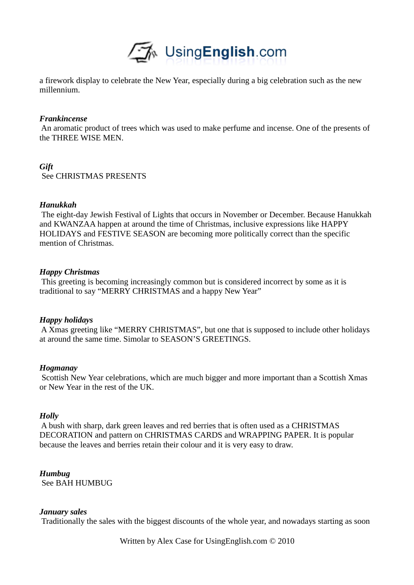

a firework display to celebrate the New Year, especially during a big celebration such as the new millennium.

### *Frankincense*

 An aromatic product of trees which was used to make perfume and incense. One of the presents of the THREE WISE MEN.

## *Gift*

See CHRISTMAS PRESENTS

## *Hanukkah*

 The eight-day Jewish Festival of Lights that occurs in November or December. Because Hanukkah and KWANZAA happen at around the time of Christmas, inclusive expressions like HAPPY HOLIDAYS and FESTIVE SEASON are becoming more politically correct than the specific mention of Christmas.

## *Happy Christmas*

 This greeting is becoming increasingly common but is considered incorrect by some as it is traditional to say "MERRY CHRISTMAS and a happy New Year"

## *Happy holidays*

 A Xmas greeting like "MERRY CHRISTMAS", but one that is supposed to include other holidays at around the same time. Simolar to SEASON'S GREETINGS.

## *Hogmanay*

 Scottish New Year celebrations, which are much bigger and more important than a Scottish Xmas or New Year in the rest of the UK.

## *Holly*

 A bush with sharp, dark green leaves and red berries that is often used as a CHRISTMAS DECORATION and pattern on CHRISTMAS CARDS and WRAPPING PAPER. It is popular because the leaves and berries retain their colour and it is very easy to draw.

*Humbug*  See BAH HUMBUG

## *January sales*

Traditionally the sales with the biggest discounts of the whole year, and nowadays starting as soon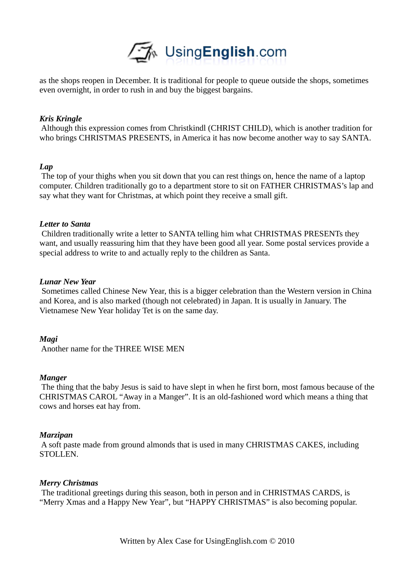

as the shops reopen in December. It is traditional for people to queue outside the shops, sometimes even overnight, in order to rush in and buy the biggest bargains.

### *Kris Kringle*

 Although this expression comes from Christkindl (CHRIST CHILD), which is another tradition for who brings CHRISTMAS PRESENTS, in America it has now become another way to say SANTA.

#### *Lap*

 The top of your thighs when you sit down that you can rest things on, hence the name of a laptop computer. Children traditionally go to a department store to sit on FATHER CHRISTMAS's lap and say what they want for Christmas, at which point they receive a small gift.

#### *Letter to Santa*

 Children traditionally write a letter to SANTA telling him what CHRISTMAS PRESENTs they want, and usually reassuring him that they have been good all year. Some postal services provide a special address to write to and actually reply to the children as Santa.

### *Lunar New Year*

 Sometimes called Chinese New Year, this is a bigger celebration than the Western version in China and Korea, and is also marked (though not celebrated) in Japan. It is usually in January. The Vietnamese New Year holiday Tet is on the same day.

## *Magi*

Another name for the THREE WISE MEN

#### *Manger*

 The thing that the baby Jesus is said to have slept in when he first born, most famous because of the CHRISTMAS CAROL "Away in a Manger". It is an old-fashioned word which means a thing that cows and horses eat hay from.

#### *Marzipan*

 A soft paste made from ground almonds that is used in many CHRISTMAS CAKES, including STOLLEN.

#### *Merry Christmas*

 The traditional greetings during this season, both in person and in CHRISTMAS CARDS, is "Merry Xmas and a Happy New Year", but "HAPPY CHRISTMAS" is also becoming popular.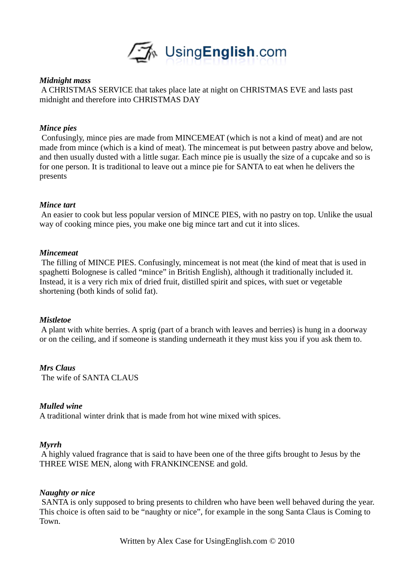

### *Midnight mass*

 A CHRISTMAS SERVICE that takes place late at night on CHRISTMAS EVE and lasts past midnight and therefore into CHRISTMAS DAY

### *Mince pies*

 Confusingly, mince pies are made from MINCEMEAT (which is not a kind of meat) and are not made from mince (which is a kind of meat). The mincemeat is put between pastry above and below, and then usually dusted with a little sugar. Each mince pie is usually the size of a cupcake and so is for one person. It is traditional to leave out a mince pie for SANTA to eat when he delivers the presents

### *Mince tart*

 An easier to cook but less popular version of MINCE PIES, with no pastry on top. Unlike the usual way of cooking mince pies, you make one big mince tart and cut it into slices.

### *Mincemeat*

 The filling of MINCE PIES. Confusingly, mincemeat is not meat (the kind of meat that is used in spaghetti Bolognese is called "mince" in British English), although it traditionally included it. Instead, it is a very rich mix of dried fruit, distilled spirit and spices, with suet or vegetable shortening (both kinds of solid fat).

#### *Mistletoe*

 A plant with white berries. A sprig (part of a branch with leaves and berries) is hung in a doorway or on the ceiling, and if someone is standing underneath it they must kiss you if you ask them to.

## *Mrs Claus*

The wife of SANTA CLAUS

### *Mulled wine*

A traditional winter drink that is made from hot wine mixed with spices.

#### *Myrrh*

 A highly valued fragrance that is said to have been one of the three gifts brought to Jesus by the THREE WISE MEN, along with FRANKINCENSE and gold.

#### *Naughty or nice*

 SANTA is only supposed to bring presents to children who have been well behaved during the year. This choice is often said to be "naughty or nice", for example in the song Santa Claus is Coming to Town.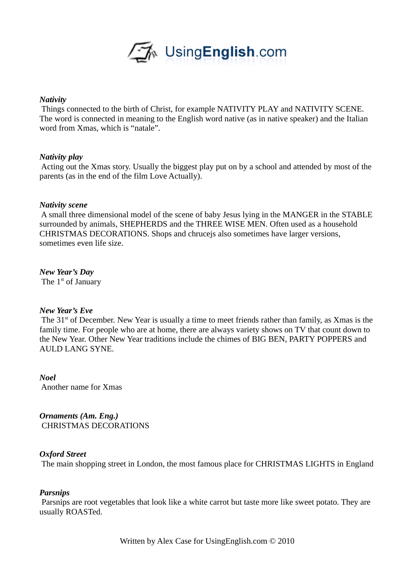

### *Nativity*

 Things connected to the birth of Christ, for example NATIVITY PLAY and NATIVITY SCENE. The word is connected in meaning to the English word native (as in native speaker) and the Italian word from Xmas, which is "natale".

## *Nativity play*

 Acting out the Xmas story. Usually the biggest play put on by a school and attended by most of the parents (as in the end of the film Love Actually).

### *Nativity scene*

 A small three dimensional model of the scene of baby Jesus lying in the MANGER in the STABLE surrounded by animals, SHEPHERDS and the THREE WISE MEN. Often used as a household CHRISTMAS DECORATIONS. Shops and chrucejs also sometimes have larger versions, sometimes even life size.

### *New Year's Day*

The 1<sup>st</sup> of January

## *New Year's Eve*

The 31<sup>st</sup> of December. New Year is usually a time to meet friends rather than family, as Xmas is the family time. For people who are at home, there are always variety shows on TV that count down to the New Year. Other New Year traditions include the chimes of BIG BEN, PARTY POPPERS and AULD LANG SYNE.

*Noel*  Another name for Xmas

*Ornaments (Am. Eng.)*  CHRISTMAS DECORATIONS

## *Oxford Street*

The main shopping street in London, the most famous place for CHRISTMAS LIGHTS in England

#### *Parsnips*

 Parsnips are root vegetables that look like a white carrot but taste more like sweet potato. They are usually ROASTed.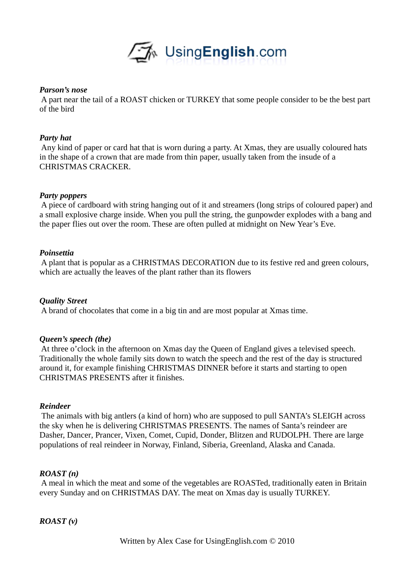

### *Parson's nose*

 A part near the tail of a ROAST chicken or TURKEY that some people consider to be the best part of the bird

## *Party hat*

 Any kind of paper or card hat that is worn during a party. At Xmas, they are usually coloured hats in the shape of a crown that are made from thin paper, usually taken from the insude of a CHRISTMAS CRACKER.

## *Party poppers*

 A piece of cardboard with string hanging out of it and streamers (long strips of coloured paper) and a small explosive charge inside. When you pull the string, the gunpowder explodes with a bang and the paper flies out over the room. These are often pulled at midnight on New Year's Eve.

## *Poinsettia*

 A plant that is popular as a CHRISTMAS DECORATION due to its festive red and green colours, which are actually the leaves of the plant rather than its flowers

## *Quality Street*

A brand of chocolates that come in a big tin and are most popular at Xmas time.

## *Queen's speech (the)*

 At three o'clock in the afternoon on Xmas day the Queen of England gives a televised speech. Traditionally the whole family sits down to watch the speech and the rest of the day is structured around it, for example finishing CHRISTMAS DINNER before it starts and starting to open CHRISTMAS PRESENTS after it finishes.

## *Reindeer*

 The animals with big antlers (a kind of horn) who are supposed to pull SANTA's SLEIGH across the sky when he is delivering CHRISTMAS PRESENTS. The names of Santa's reindeer are Dasher, Dancer, Prancer, Vixen, Comet, Cupid, Donder, Blitzen and RUDOLPH. There are large populations of real reindeer in Norway, Finland, Siberia, Greenland, Alaska and Canada.

## *ROAST (n)*

 A meal in which the meat and some of the vegetables are ROASTed, traditionally eaten in Britain every Sunday and on CHRISTMAS DAY. The meat on Xmas day is usually TURKEY.

# *ROAST (v)*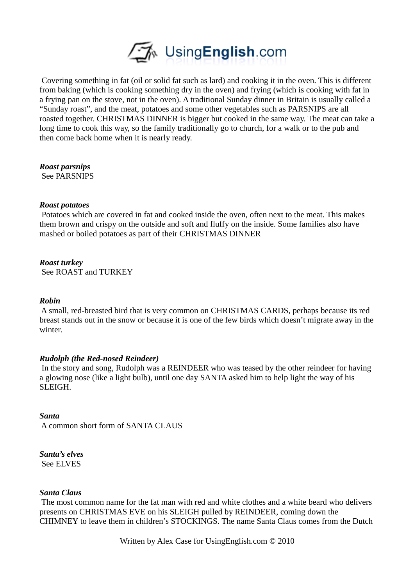

 Covering something in fat (oil or solid fat such as lard) and cooking it in the oven. This is different from baking (which is cooking something dry in the oven) and frying (which is cooking with fat in a frying pan on the stove, not in the oven). A traditional Sunday dinner in Britain is usually called a "Sunday roast", and the meat, potatoes and some other vegetables such as PARSNIPS are all roasted together. CHRISTMAS DINNER is bigger but cooked in the same way. The meat can take a long time to cook this way, so the family traditionally go to church, for a walk or to the pub and then come back home when it is nearly ready.

## *Roast parsnips*

See PARSNIPS

## *Roast potatoes*

 Potatoes which are covered in fat and cooked inside the oven, often next to the meat. This makes them brown and crispy on the outside and soft and fluffy on the inside. Some families also have mashed or boiled potatoes as part of their CHRISTMAS DINNER

## *Roast turkey*

See ROAST and TURKEY

#### *Robin*

 A small, red-breasted bird that is very common on CHRISTMAS CARDS, perhaps because its red breast stands out in the snow or because it is one of the few birds which doesn't migrate away in the winter.

## *Rudolph (the Red-nosed Reindeer)*

 In the story and song, Rudolph was a REINDEER who was teased by the other reindeer for having a glowing nose (like a light bulb), until one day SANTA asked him to help light the way of his SLEIGH.

## *Santa*

A common short form of SANTA CLAUS

#### *Santa's elves*  See ELVES

## *Santa Claus*

 The most common name for the fat man with red and white clothes and a white beard who delivers presents on CHRISTMAS EVE on his SLEIGH pulled by REINDEER, coming down the CHIMNEY to leave them in children's STOCKINGS. The name Santa Claus comes from the Dutch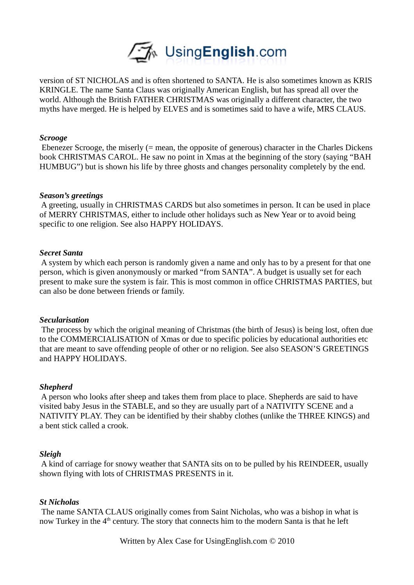

version of ST NICHOLAS and is often shortened to SANTA. He is also sometimes known as KRIS KRINGLE. The name Santa Claus was originally American English, but has spread all over the world. Although the British FATHER CHRISTMAS was originally a different character, the two myths have merged. He is helped by ELVES and is sometimes said to have a wife, MRS CLAUS.

### *Scrooge*

 Ebenezer Scrooge, the miserly (= mean, the opposite of generous) character in the Charles Dickens book CHRISTMAS CAROL. He saw no point in Xmas at the beginning of the story (saying "BAH HUMBUG") but is shown his life by three ghosts and changes personality completely by the end.

#### *Season's greetings*

 A greeting, usually in CHRISTMAS CARDS but also sometimes in person. It can be used in place of MERRY CHRISTMAS, either to include other holidays such as New Year or to avoid being specific to one religion. See also HAPPY HOLIDAYS.

### *Secret Santa*

 A system by which each person is randomly given a name and only has to by a present for that one person, which is given anonymously or marked "from SANTA". A budget is usually set for each present to make sure the system is fair. This is most common in office CHRISTMAS PARTIES, but can also be done between friends or family.

## *Secularisation*

 The process by which the original meaning of Christmas (the birth of Jesus) is being lost, often due to the COMMERCIALISATION of Xmas or due to specific policies by educational authorities etc that are meant to save offending people of other or no religion. See also SEASON'S GREETINGS and HAPPY HOLIDAYS.

## *Shepherd*

 A person who looks after sheep and takes them from place to place. Shepherds are said to have visited baby Jesus in the STABLE, and so they are usually part of a NATIVITY SCENE and a NATIVITY PLAY. They can be identified by their shabby clothes (unlike the THREE KINGS) and a bent stick called a crook.

## *Sleigh*

 A kind of carriage for snowy weather that SANTA sits on to be pulled by his REINDEER, usually shown flying with lots of CHRISTMAS PRESENTS in it.

### *St Nicholas*

 The name SANTA CLAUS originally comes from Saint Nicholas, who was a bishop in what is now Turkey in the  $4<sup>th</sup>$  century. The story that connects him to the modern Santa is that he left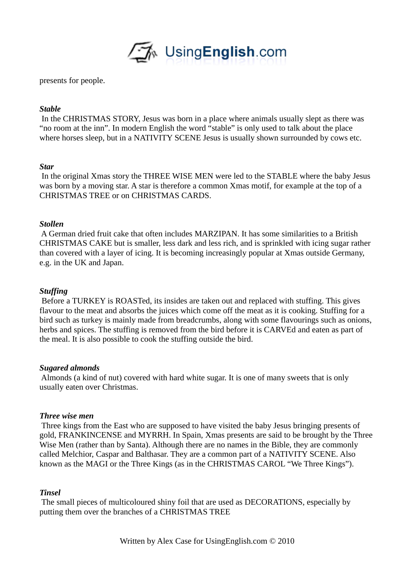

presents for people.

# *Stable*

 In the CHRISTMAS STORY, Jesus was born in a place where animals usually slept as there was "no room at the inn". In modern English the word "stable" is only used to talk about the place where horses sleep, but in a NATIVITY SCENE Jesus is usually shown surrounded by cows etc.

## *Star*

 In the original Xmas story the THREE WISE MEN were led to the STABLE where the baby Jesus was born by a moving star. A star is therefore a common Xmas motif, for example at the top of a CHRISTMAS TREE or on CHRISTMAS CARDS.

# *Stollen*

 A German dried fruit cake that often includes MARZIPAN. It has some similarities to a British CHRISTMAS CAKE but is smaller, less dark and less rich, and is sprinkled with icing sugar rather than covered with a layer of icing. It is becoming increasingly popular at Xmas outside Germany, e.g. in the UK and Japan.

# *Stuffing*

 Before a TURKEY is ROASTed, its insides are taken out and replaced with stuffing. This gives flavour to the meat and absorbs the juices which come off the meat as it is cooking. Stuffing for a bird such as turkey is mainly made from breadcrumbs, along with some flavourings such as onions, herbs and spices. The stuffing is removed from the bird before it is CARVEd and eaten as part of the meal. It is also possible to cook the stuffing outside the bird.

## *Sugared almonds*

 Almonds (a kind of nut) covered with hard white sugar. It is one of many sweets that is only usually eaten over Christmas.

## *Three wise men*

 Three kings from the East who are supposed to have visited the baby Jesus bringing presents of gold, FRANKINCENSE and MYRRH. In Spain, Xmas presents are said to be brought by the Three Wise Men (rather than by Santa). Although there are no names in the Bible, they are commonly called Melchior, Caspar and Balthasar. They are a common part of a NATIVITY SCENE. Also known as the MAGI or the Three Kings (as in the CHRISTMAS CAROL "We Three Kings").

## *Tinsel*

 The small pieces of multicoloured shiny foil that are used as DECORATIONS, especially by putting them over the branches of a CHRISTMAS TREE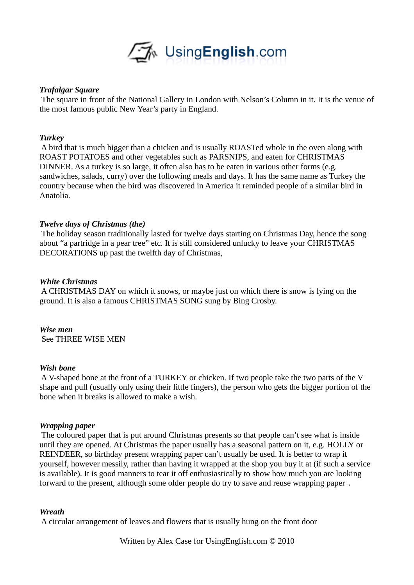

# *Trafalgar Square*

 The square in front of the National Gallery in London with Nelson's Column in it. It is the venue of the most famous public New Year's party in England.

## *Turkey*

 A bird that is much bigger than a chicken and is usually ROASTed whole in the oven along with ROAST POTATOES and other vegetables such as PARSNIPS, and eaten for CHRISTMAS DINNER. As a turkey is so large, it often also has to be eaten in various other forms (e.g. sandwiches, salads, curry) over the following meals and days. It has the same name as Turkey the country because when the bird was discovered in America it reminded people of a similar bird in Anatolia.

# *Twelve days of Christmas (the)*

 The holiday season traditionally lasted for twelve days starting on Christmas Day, hence the song about "a partridge in a pear tree" etc. It is still considered unlucky to leave your CHRISTMAS DECORATIONS up past the twelfth day of Christmas,

## *White Christmas*

 A CHRISTMAS DAY on which it snows, or maybe just on which there is snow is lying on the ground. It is also a famous CHRISTMAS SONG sung by Bing Crosby.

*Wise men*  See THREE WISE MEN

## *Wish bone*

 A V-shaped bone at the front of a TURKEY or chicken. If two people take the two parts of the V shape and pull (usually only using their little fingers), the person who gets the bigger portion of the bone when it breaks is allowed to make a wish.

## *Wrapping paper*

 The coloured paper that is put around Christmas presents so that people can't see what is inside until they are opened. At Christmas the paper usually has a seasonal pattern on it, e.g. HOLLY or REINDEER, so birthday present wrapping paper can't usually be used. It is better to wrap it yourself, however messily, rather than having it wrapped at the shop you buy it at (if such a service is available). It is good manners to tear it off enthusiastically to show how much you are looking forward to the present, although some older people do try to save and reuse wrapping paper.

## *Wreath*

A circular arrangement of leaves and flowers that is usually hung on the front door